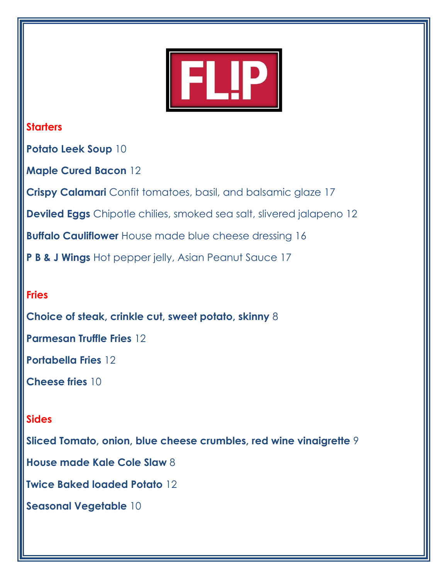

# **Starters**

**Potato Leek Soup** 10

**Maple Cured Bacon** 12

**Crispy Calamari** Confit tomatoes, basil, and balsamic glaze 17

**Deviled Eggs** Chipotle chilies, smoked sea salt, slivered jalapeno 12

**Buffalo Cauliflower** House made blue cheese dressing 16

**P B & J Wings** Hot pepper jelly, Asian Peanut Sauce 17

# **Fries**

**Choice of steak, crinkle cut, sweet potato, skinny** 8

**Parmesan Truffle Fries** 12

**Portabella Fries** 12

**Cheese fries** 10

# **Sides**

**Sliced Tomato, onion, blue cheese crumbles, red wine vinaigrette** 9

**House made Kale Cole Slaw** 8

**Twice Baked loaded Potato** 12

**Seasonal Vegetable** 10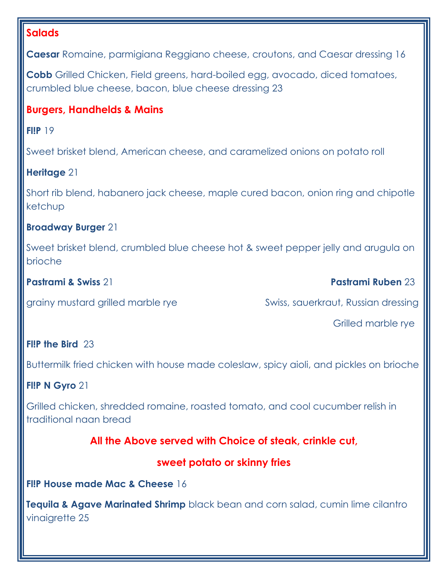# **Salads**

**Caesar** Romaine, parmigiana Reggiano cheese, croutons, and Caesar dressing 16

**Cobb** Grilled Chicken, Field greens, hard-boiled egg, avocado, diced tomatoes, crumbled blue cheese, bacon, blue cheese dressing 23

# **Burgers, Handhelds & Mains**

**Fl!P** 19

Sweet brisket blend, American cheese, and caramelized onions on potato roll

### **Heritage** 21

Short rib blend, habanero jack cheese, maple cured bacon, onion ring and chipotle ketchup

#### **Broadway Burger** 21

Sweet brisket blend, crumbled blue cheese hot & sweet pepper jelly and arugula on brioche

**Pastrami & Swiss** 21 **Pastrami Ruben** 23

grainy mustard grilled marble ryeSwiss, sauerkraut, Russian dressing

Grilled marble rye

#### **Fl!P the Bird** 23

Buttermilk fried chicken with house made coleslaw, spicy aioli, and pickles on brioche

# **Fl!P N Gyro** 21

Grilled chicken, shredded romaine, roasted tomato, and cool cucumber relish in traditional naan bread

# **All the Above served with Choice of steak, crinkle cut,**

# **sweet potato or skinny fries**

#### **Fl!P House made Mac & Cheese** 16

**Tequila & Agave Marinated Shrimp** black bean and corn salad, cumin lime cilantro vinaigrette 25